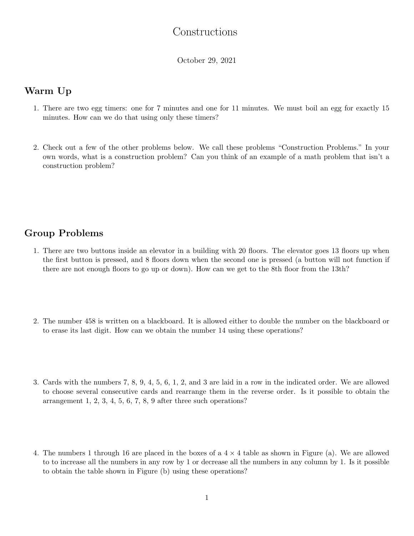## Constructions

October 29, 2021

## Warm Up

- 1. There are two egg timers: one for 7 minutes and one for 11 minutes. We must boil an egg for exactly 15 minutes. How can we do that using only these timers?
- 2. Check out a few of the other problems below. We call these problems "Construction Problems." In your own words, what is a construction problem? Can you think of an example of a math problem that isn't a construction problem?

## Group Problems

- 1. There are two buttons inside an elevator in a building with 20 floors. The elevator goes 13 floors up when the first button is pressed, and 8 floors down when the second one is pressed (a button will not function if there are not enough floors to go up or down). How can we get to the 8th floor from the 13th?
- 2. The number 458 is written on a blackboard. It is allowed either to double the number on the blackboard or to erase its last digit. How can we obtain the number 14 using these operations?
- 3. Cards with the numbers 7, 8, 9, 4, 5, 6, 1, 2, and 3 are laid in a row in the indicated order. We are allowed to choose several consecutive cards and rearrange them in the reverse order. Is it possible to obtain the arrangement 1, 2, 3, 4, 5, 6, 7, 8, 9 after three such operations?
- 4. The numbers 1 through 16 are placed in the boxes of a  $4 \times 4$  table as shown in Figure (a). We are allowed to to increase all the numbers in any row by 1 or decrease all the numbers in any column by 1. Is it possible to obtain the table shown in Figure (b) using these operations?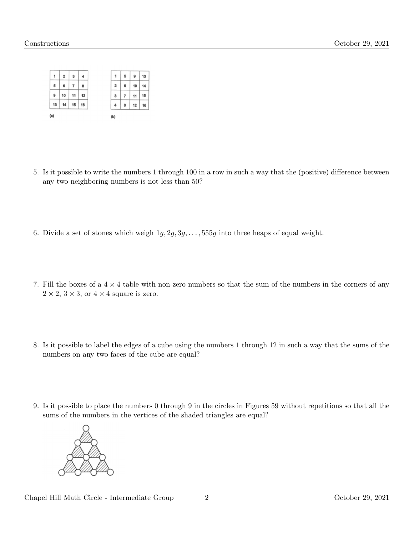

- 5. Is it possible to write the numbers 1 through 100 in a row in such a way that the (positive) difference between any two neighboring numbers is not less than 50?
- 6. Divide a set of stones which weigh  $1g, 2g, 3g, \ldots, 555g$  into three heaps of equal weight.
- 7. Fill the boxes of a  $4 \times 4$  table with non-zero numbers so that the sum of the numbers in the corners of any  $2 \times 2$ ,  $3 \times 3$ , or  $4 \times 4$  square is zero.
- 8. Is it possible to label the edges of a cube using the numbers 1 through 12 in such a way that the sums of the numbers on any two faces of the cube are equal?
- 9. Is it possible to place the numbers 0 through 9 in the circles in Figures 59 without repetitions so that all the sums of the numbers in the vertices of the shaded triangles are equal?